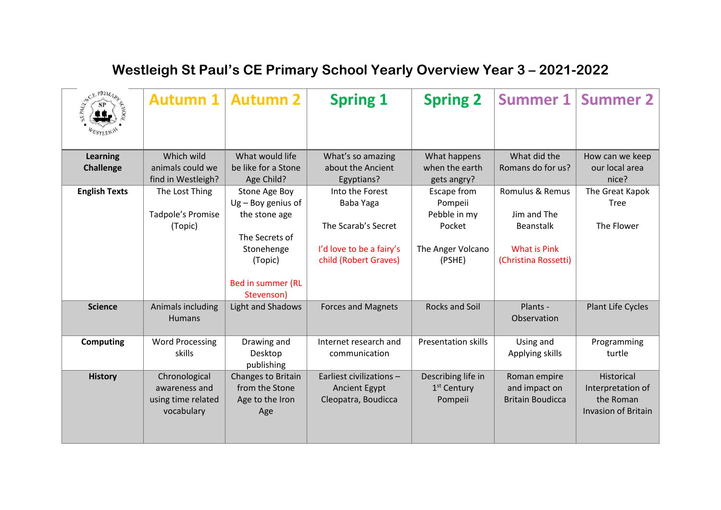| SCEPRIMARY           | <b>Autumn 1</b>        | <b>Autumn 2</b>                        | <b>Spring 1</b>           | <b>Spring 2</b>            | <b>Summer 1</b>         | <b>Summer 2</b>            |
|----------------------|------------------------|----------------------------------------|---------------------------|----------------------------|-------------------------|----------------------------|
| <b>Learning</b>      | Which wild             | What would life                        | What's so amazing         | What happens               | What did the            | How can we keep            |
| <b>Challenge</b>     | animals could we       | be like for a Stone                    | about the Ancient         | when the earth             | Romans do for us?       | our local area             |
|                      | find in Westleigh?     | Age Child?                             | Egyptians?                | gets angry?                |                         | nice?                      |
| <b>English Texts</b> | The Lost Thing         | Stone Age Boy                          | Into the Forest           | Escape from                | Romulus & Remus         | The Great Kapok            |
|                      |                        | $Ug - Boy$ genius of                   | Baba Yaga                 | Pompeii                    |                         | Tree                       |
|                      | Tadpole's Promise      | the stone age                          |                           | Pebble in my               | Jim and The             |                            |
|                      | (Topic)                |                                        | The Scarab's Secret       | Pocket                     | <b>Beanstalk</b>        | The Flower                 |
|                      |                        | The Secrets of                         |                           |                            |                         |                            |
|                      |                        | Stonehenge                             | I'd love to be a fairy's  | The Anger Volcano          | <b>What is Pink</b>     |                            |
|                      |                        | (Topic)                                | child (Robert Graves)     | (PSHE)                     | (Christina Rossetti)    |                            |
|                      |                        | <b>Bed in summer (RL</b><br>Stevenson) |                           |                            |                         |                            |
| <b>Science</b>       | Animals including      | <b>Light and Shadows</b>               | <b>Forces and Magnets</b> | <b>Rocks and Soil</b>      | Plants -                | Plant Life Cycles          |
|                      | <b>Humans</b>          |                                        |                           |                            | Observation             |                            |
| <b>Computing</b>     | <b>Word Processing</b> | Drawing and                            | Internet research and     | <b>Presentation skills</b> | Using and               | Programming                |
|                      | skills                 | Desktop                                | communication             |                            | Applying skills         | turtle                     |
|                      |                        | publishing                             |                           |                            |                         |                            |
| <b>History</b>       | Chronological          | Changes to Britain                     | Earliest civilizations -  | Describing life in         | Roman empire            | Historical                 |
|                      | awareness and          | from the Stone                         | <b>Ancient Egypt</b>      | 1 <sup>st</sup> Century    | and impact on           | Interpretation of          |
|                      | using time related     | Age to the Iron                        | Cleopatra, Boudicca       | Pompeii                    | <b>Britain Boudicca</b> | the Roman                  |
|                      | vocabulary             | Age                                    |                           |                            |                         | <b>Invasion of Britain</b> |
|                      |                        |                                        |                           |                            |                         |                            |
|                      |                        |                                        |                           |                            |                         |                            |

## **Westleigh St Paul's CE Primary School Yearly Overview Year 3 – 2021-2022**